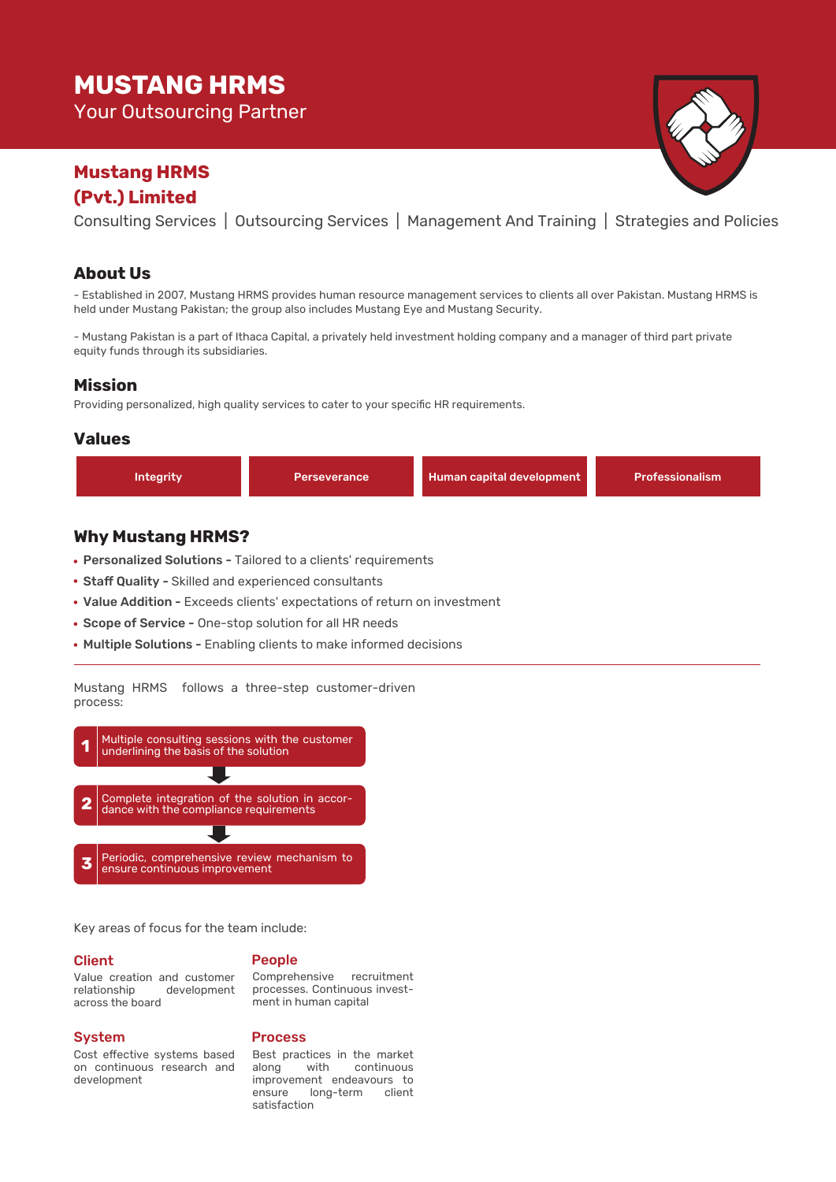# **MUSTANG HRMS**

Your Outsourcing Partner

# **Mustang HRMS**

# **(Pvt.) Limited**

Consulting Services | Outsourcing Services | Management And Training | Strategies and Policies

### **About Us**

- Established in 2007, Mustang HRMS provides human resource management services to clients all over Pakistan. Mustang HRMS is held under Mustang Pakistan; the group also includes Mustang Eye and Mustang Security.

- Mustang Pakistan is a part of Ithaca Capital, a privately held investment holding company and a manager of third part private equity funds through its subsidiaries.

## **Mission**

Providing personalized, high quality services to cater to your specific HR requirements.

# **Values** Integrity **Perseverance Human capital development** Professionalism

# **Why Mustang HRMS?**

- Personalized Solutions Tailored to a clients' requirements
- Staff Quality Skilled and experienced consultants
- Value Addition Exceeds clients' expectations of return on investment
- Scope of Service One-stop solution for all HR needs
- Multiple Solutions Enabling clients to make informed decisions





Key areas of focus for the team include:

#### Client

#### People

Value creation and customer relationship development across the board

Comprehensive recruitment processes. Continuous investment in human capital

#### System

Cost effective systems based on continuous research and development

# Process

Best practices in the market along with continuous improvement endeavours to ensure long-term client satisfaction